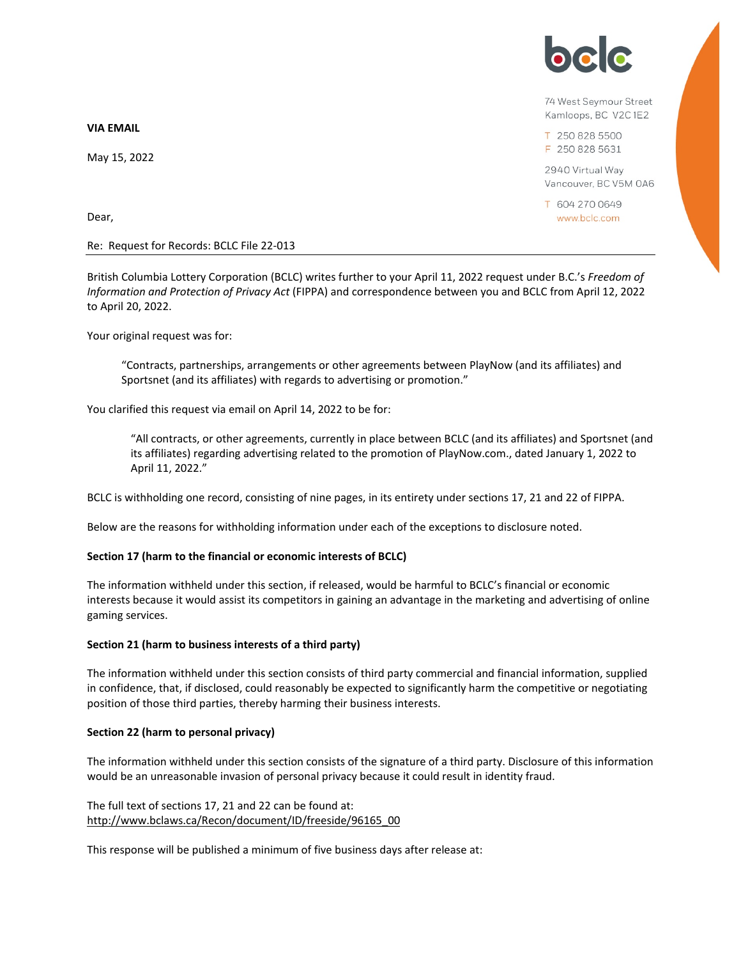**VIA EMAIL**

May 15, 2022

Dear,

### Re: Request for Records: BCLC File 22-013

British Columbia Lottery Corporation (BCLC) writes further to your April 11, 2022 request under B.C.'s *Freedom of Information and Protection of Privacy Act* (FIPPA) and correspondence between you and BCLC from April 12, 2022 to April 20, 2022.

Your original request was for:

"Contracts, partnerships, arrangements or other agreements between PlayNow (and its affiliates) and Sportsnet (and its affiliates) with regards to advertising or promotion."

You clarified this request via email on April 14, 2022 to be for:

"All contracts, or other agreements, currently in place between BCLC (and its affiliates) and Sportsnet (and its affiliates) regarding advertising related to the promotion of PlayNow.com., dated January 1, 2022 to April 11, 2022."

BCLC is withholding one record, consisting of nine pages, in its entirety under sections 17, 21 and 22 of FIPPA.

Below are the reasons for withholding information under each of the exceptions to disclosure noted.

# **Section 17 (harm to the financial or economic interests of BCLC)**

The information withheld under this section, if released, would be harmful to BCLC's financial or economic interests because it would assist its competitors in gaining an advantage in the marketing and advertising of online gaming services.

# **Section 21 (harm to business interests of a third party)**

The information withheld under this section consists of third party commercial and financial information, supplied in confidence, that, if disclosed, could reasonably be expected to significantly harm the competitive or negotiating position of those third parties, thereby harming their business interests.

### **Section 22 (harm to personal privacy)**

The information withheld under this section consists of the signature of a third party. Disclosure of this information would be an unreasonable invasion of personal privacy because it could result in identity fraud.

# The full text of sections 17, 21 and 22 can be found at: [http://www.bclaws.ca/Recon/document/ID/freeside/96165\\_00](http://www.bclaws.ca/Recon/document/ID/freeside/96165_00)

This response will be published a minimum of five business days after release at:



74 West Seymour Street Kamloops, BC V2C1E2

T 250 828 5500 F 250 828 5631

2940 Virtual Way Vancouver, BC V5M 0A6

T 604 270 0649 www.bclc.com